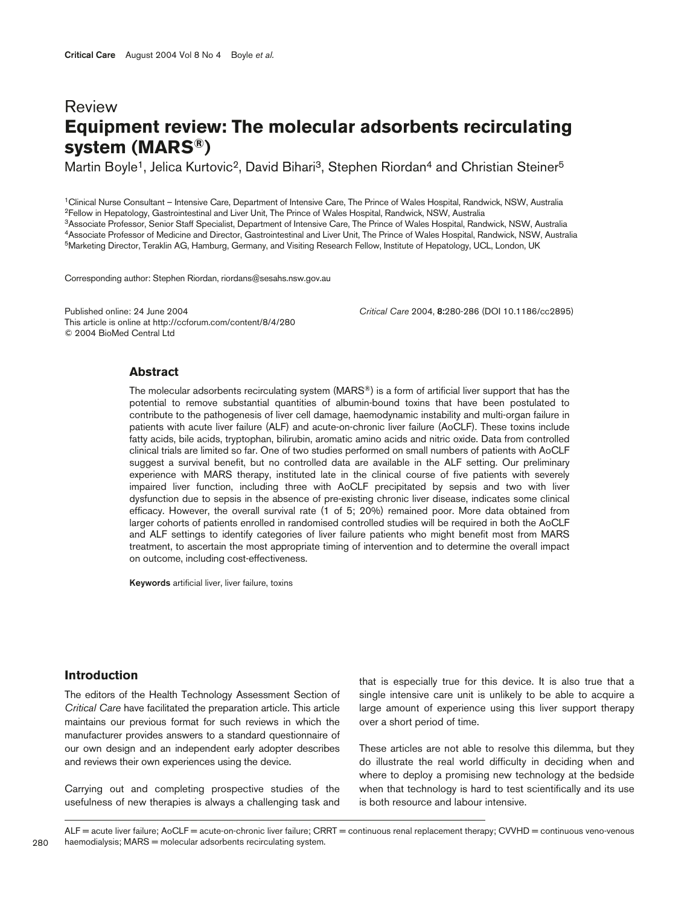# Review **Equipment review: The molecular adsorbents recirculating system (MARS®)**

Martin Boyle<sup>1</sup>, Jelica Kurtovic<sup>2</sup>, David Bihari<sup>3</sup>, Stephen Riordan<sup>4</sup> and Christian Steiner<sup>5</sup>

1Clinical Nurse Consultant – Intensive Care, Department of Intensive Care, The Prince of Wales Hospital, Randwick, NSW, Australia 2Fellow in Hepatology, Gastrointestinal and Liver Unit, The Prince of Wales Hospital, Randwick, NSW, Australia 3Associate Professor, Senior Staff Specialist, Department of Intensive Care, The Prince of Wales Hospital, Randwick, NSW, Australia 4Associate Professor of Medicine and Director, Gastrointestinal and Liver Unit, The Prince of Wales Hospital, Randwick, NSW, Australia 5Marketing Director, Teraklin AG, Hamburg, Germany, and Visiting Research Fellow, Institute of Hepatology, UCL, London, UK

Corresponding author: Stephen Riordan, riordans@sesahs.nsw.gov.au

Published online: 24 June 2004 *Critical Care* 2004, **8:**280-286 (DOI 10.1186/cc2895) This article is online at http://ccforum.com/content/8/4/280 © 2004 BioMed Central Ltd

# **Abstract**

The molecular adsorbents recirculating system ( $MARS^{\circledast}$ ) is a form of artificial liver support that has the potential to remove substantial quantities of albumin-bound toxins that have been postulated to contribute to the pathogenesis of liver cell damage, haemodynamic instability and multi-organ failure in patients with acute liver failure (ALF) and acute-on-chronic liver failure (AoCLF). These toxins include fatty acids, bile acids, tryptophan, bilirubin, aromatic amino acids and nitric oxide. Data from controlled clinical trials are limited so far. One of two studies performed on small numbers of patients with AoCLF suggest a survival benefit, but no controlled data are available in the ALF setting. Our preliminary experience with MARS therapy, instituted late in the clinical course of five patients with severely impaired liver function, including three with AoCLF precipitated by sepsis and two with liver dysfunction due to sepsis in the absence of pre-existing chronic liver disease, indicates some clinical efficacy. However, the overall survival rate (1 of 5; 20%) remained poor. More data obtained from larger cohorts of patients enrolled in randomised controlled studies will be required in both the AoCLF and ALF settings to identify categories of liver failure patients who might benefit most from MARS treatment, to ascertain the most appropriate timing of intervention and to determine the overall impact on outcome, including cost-effectiveness.

**Keywords** artificial liver, liver failure, toxins

# **Introduction**

The editors of the Health Technology Assessment Section of *Critical Care* have facilitated the preparation article. This article maintains our previous format for such reviews in which the manufacturer provides answers to a standard questionnaire of our own design and an independent early adopter describes and reviews their own experiences using the device.

Carrying out and completing prospective studies of the usefulness of new therapies is always a challenging task and that is especially true for this device. It is also true that a single intensive care unit is unlikely to be able to acquire a large amount of experience using this liver support therapy over a short period of time.

These articles are not able to resolve this dilemma, but they do illustrate the real world difficulty in deciding when and where to deploy a promising new technology at the bedside when that technology is hard to test scientifically and its use is both resource and labour intensive.

ALF = acute liver failure; AoCLF = acute-on-chronic liver failure; CRRT = continuous renal replacement therapy; CVVHD = continuous veno-venous haemodialysis; MARS = molecular adsorbents recirculating system.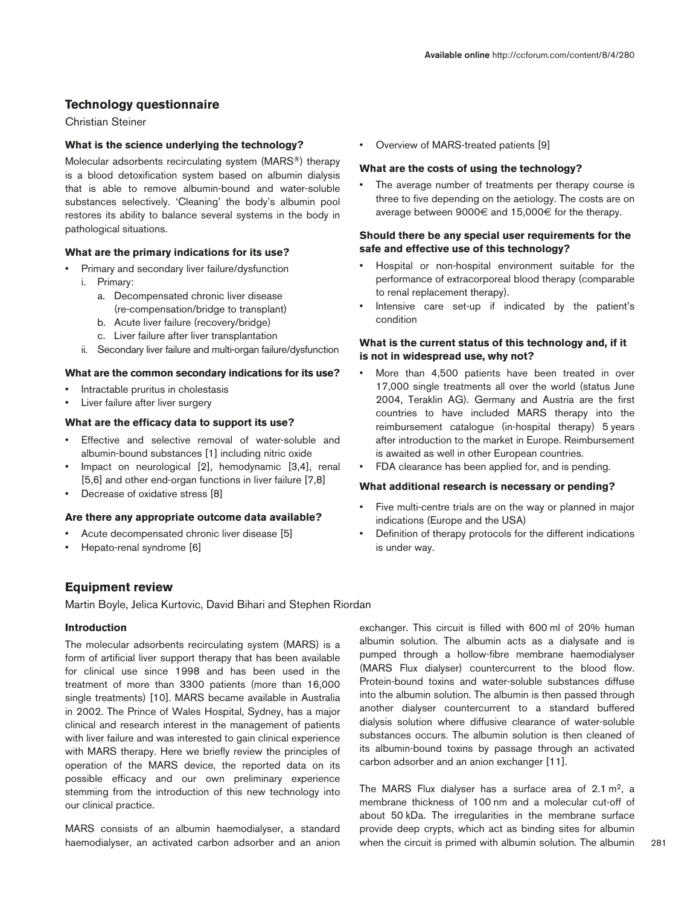# **Technology questionnaire**

Christian Steiner

# **What is the science underlying the technology?**

Molecular adsorbents recirculating system (MARS®) therapy is a blood detoxification system based on albumin dialysis that is able to remove albumin-bound and water-soluble substances selectively. 'Cleaning' the body's albumin pool restores its ability to balance several systems in the body in pathological situations.

## **What are the primary indications for its use?**

- Primary and secondary liver failure/dysfunction
	- i. Primary:
		- a. Decompensated chronic liver disease (re-compensation/bridge to transplant)
		- b. Acute liver failure (recovery/bridge)
		- c. Liver failure after liver transplantation
	- ii. Secondary liver failure and multi-organ failure/dysfunction

## **What are the common secondary indications for its use?**

- Intractable pruritus in cholestasis
- Liver failure after liver surgery

# **What are the efficacy data to support its use?**

- Effective and selective removal of water-soluble and albumin-bound substances [1] including nitric oxide
- Impact on neurological [2], hemodynamic [3,4], renal [5,6] and other end-organ functions in liver failure [7,8]
- Decrease of oxidative stress [8]

# **Are there any appropriate outcome data available?**

- Acute decompensated chronic liver disease [5]
- Hepato-renal syndrome [6]

# **Equipment review**

Martin Boyle, Jelica Kurtovic, David Bihari and Stephen Riordan

## **Introduction**

The molecular adsorbents recirculating system (MARS) is a form of artificial liver support therapy that has been available for clinical use since 1998 and has been used in the treatment of more than 3300 patients (more than 16,000 single treatments) [10]. MARS became available in Australia in 2002. The Prince of Wales Hospital, Sydney, has a major clinical and research interest in the management of patients with liver failure and was interested to gain clinical experience with MARS therapy. Here we briefly review the principles of operation of the MARS device, the reported data on its possible efficacy and our own preliminary experience stemming from the introduction of this new technology into our clinical practice.

MARS consists of an albumin haemodialyser, a standard haemodialyser, an activated carbon adsorber and an anion • Overview of MARS-treated patients [9]

### **What are the costs of using the technology?**

• The average number of treatments per therapy course is three to five depending on the aetiology. The costs are on average between 9000€ and 15,000€ for the therapy.

# **Should there be any special user requirements for the safe and effective use of this technology?**

- Hospital or non-hospital environment suitable for the performance of extracorporeal blood therapy (comparable to renal replacement therapy).
- Intensive care set-up if indicated by the patient's condition

# **What is the current status of this technology and, if it is not in widespread use, why not?**

- More than 4,500 patients have been treated in over 17,000 single treatments all over the world (status June 2004, Teraklin AG). Germany and Austria are the first countries to have included MARS therapy into the reimbursement catalogue (in-hospital therapy) 5 years after introduction to the market in Europe. Reimbursement is awaited as well in other European countries.
- FDA clearance has been applied for, and is pending.

# **What additional research is necessary or pending?**

- Five multi-centre trials are on the way or planned in major indications (Europe and the USA)
- Definition of therapy protocols for the different indications is under way.

exchanger. This circuit is filled with 600 ml of 20% human albumin solution. The albumin acts as a dialysate and is pumped through a hollow-fibre membrane haemodialyser (MARS Flux dialyser) countercurrent to the blood flow. Protein-bound toxins and water-soluble substances diffuse into the albumin solution. The albumin is then passed through another dialyser countercurrent to a standard buffered dialysis solution where diffusive clearance of water-soluble substances occurs. The albumin solution is then cleaned of its albumin-bound toxins by passage through an activated carbon adsorber and an anion exchanger [11].

The MARS Flux dialyser has a surface area of  $2.1 \text{ m}^2$ , a membrane thickness of 100 nm and a molecular cut-off of about 50 kDa. The irregularities in the membrane surface provide deep crypts, which act as binding sites for albumin when the circuit is primed with albumin solution. The albumin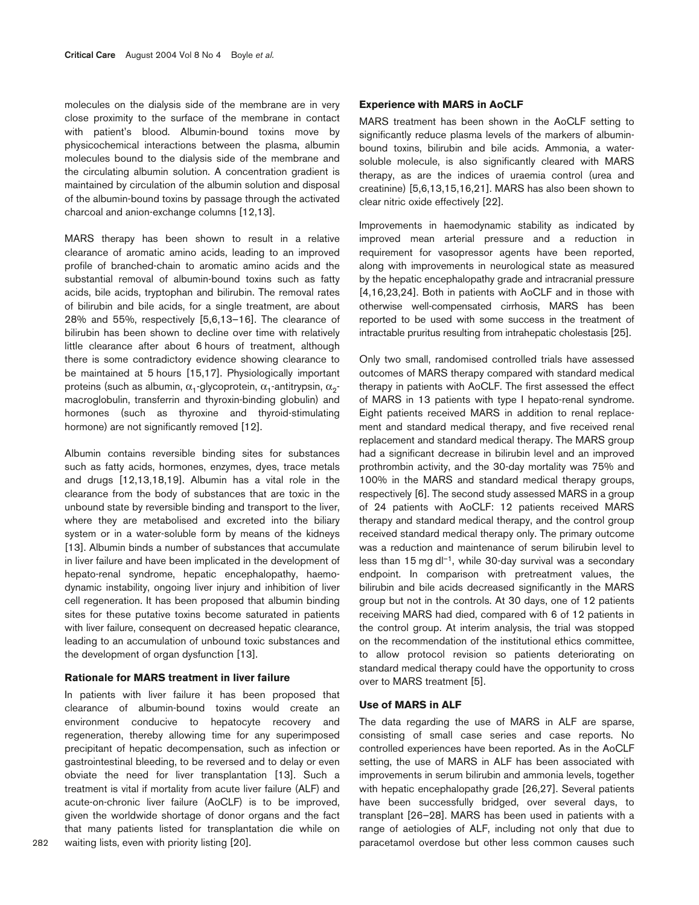molecules on the dialysis side of the membrane are in very close proximity to the surface of the membrane in contact with patient's blood. Albumin-bound toxins move by physicochemical interactions between the plasma, albumin molecules bound to the dialysis side of the membrane and the circulating albumin solution. A concentration gradient is maintained by circulation of the albumin solution and disposal of the albumin-bound toxins by passage through the activated charcoal and anion-exchange columns [12,13].

MARS therapy has been shown to result in a relative clearance of aromatic amino acids, leading to an improved profile of branched-chain to aromatic amino acids and the substantial removal of albumin-bound toxins such as fatty acids, bile acids, tryptophan and bilirubin. The removal rates of bilirubin and bile acids, for a single treatment, are about 28% and 55%, respectively [5,6,13–16]. The clearance of bilirubin has been shown to decline over time with relatively little clearance after about 6 hours of treatment, although there is some contradictory evidence showing clearance to be maintained at 5 hours [15,17]. Physiologically important proteins (such as albumin,  $\alpha_1$ -glycoprotein,  $\alpha_1$ -antitrypsin,  $\alpha_2$ macroglobulin, transferrin and thyroxin-binding globulin) and hormones (such as thyroxine and thyroid-stimulating hormone) are not significantly removed [12].

Albumin contains reversible binding sites for substances such as fatty acids, hormones, enzymes, dyes, trace metals and drugs [12,13,18,19]. Albumin has a vital role in the clearance from the body of substances that are toxic in the unbound state by reversible binding and transport to the liver, where they are metabolised and excreted into the biliary system or in a water-soluble form by means of the kidneys [13]. Albumin binds a number of substances that accumulate in liver failure and have been implicated in the development of hepato-renal syndrome, hepatic encephalopathy, haemodynamic instability, ongoing liver injury and inhibition of liver cell regeneration. It has been proposed that albumin binding sites for these putative toxins become saturated in patients with liver failure, consequent on decreased hepatic clearance, leading to an accumulation of unbound toxic substances and the development of organ dysfunction [13].

#### **Rationale for MARS treatment in liver failure**

In patients with liver failure it has been proposed that clearance of albumin-bound toxins would create an environment conducive to hepatocyte recovery and regeneration, thereby allowing time for any superimposed precipitant of hepatic decompensation, such as infection or gastrointestinal bleeding, to be reversed and to delay or even obviate the need for liver transplantation [13]. Such a treatment is vital if mortality from acute liver failure (ALF) and acute-on-chronic liver failure (AoCLF) is to be improved, given the worldwide shortage of donor organs and the fact that many patients listed for transplantation die while on waiting lists, even with priority listing [20].

MARS treatment has been shown in the AoCLF setting to significantly reduce plasma levels of the markers of albuminbound toxins, bilirubin and bile acids. Ammonia, a watersoluble molecule, is also significantly cleared with MARS therapy, as are the indices of uraemia control (urea and creatinine) [5,6,13,15,16,21]. MARS has also been shown to clear nitric oxide effectively [22].

Improvements in haemodynamic stability as indicated by improved mean arterial pressure and a reduction in requirement for vasopressor agents have been reported, along with improvements in neurological state as measured by the hepatic encephalopathy grade and intracranial pressure [4,16,23,24]. Both in patients with AoCLF and in those with otherwise well-compensated cirrhosis, MARS has been reported to be used with some success in the treatment of intractable pruritus resulting from intrahepatic cholestasis [25].

Only two small, randomised controlled trials have assessed outcomes of MARS therapy compared with standard medical therapy in patients with AoCLF. The first assessed the effect of MARS in 13 patients with type I hepato-renal syndrome. Eight patients received MARS in addition to renal replacement and standard medical therapy, and five received renal replacement and standard medical therapy. The MARS group had a significant decrease in bilirubin level and an improved prothrombin activity, and the 30-day mortality was 75% and 100% in the MARS and standard medical therapy groups, respectively [6]. The second study assessed MARS in a group of 24 patients with AoCLF: 12 patients received MARS therapy and standard medical therapy, and the control group received standard medical therapy only. The primary outcome was a reduction and maintenance of serum bilirubin level to less than 15 mg dl<sup>-1</sup>, while 30-day survival was a secondary endpoint. In comparison with pretreatment values, the bilirubin and bile acids decreased significantly in the MARS group but not in the controls. At 30 days, one of 12 patients receiving MARS had died, compared with 6 of 12 patients in the control group. At interim analysis, the trial was stopped on the recommendation of the institutional ethics committee, to allow protocol revision so patients deteriorating on standard medical therapy could have the opportunity to cross over to MARS treatment [5].

#### **Use of MARS in ALF**

The data regarding the use of MARS in ALF are sparse, consisting of small case series and case reports. No controlled experiences have been reported. As in the AoCLF setting, the use of MARS in ALF has been associated with improvements in serum bilirubin and ammonia levels, together with hepatic encephalopathy grade [26,27]. Several patients have been successfully bridged, over several days, to transplant [26–28]. MARS has been used in patients with a range of aetiologies of ALF, including not only that due to paracetamol overdose but other less common causes such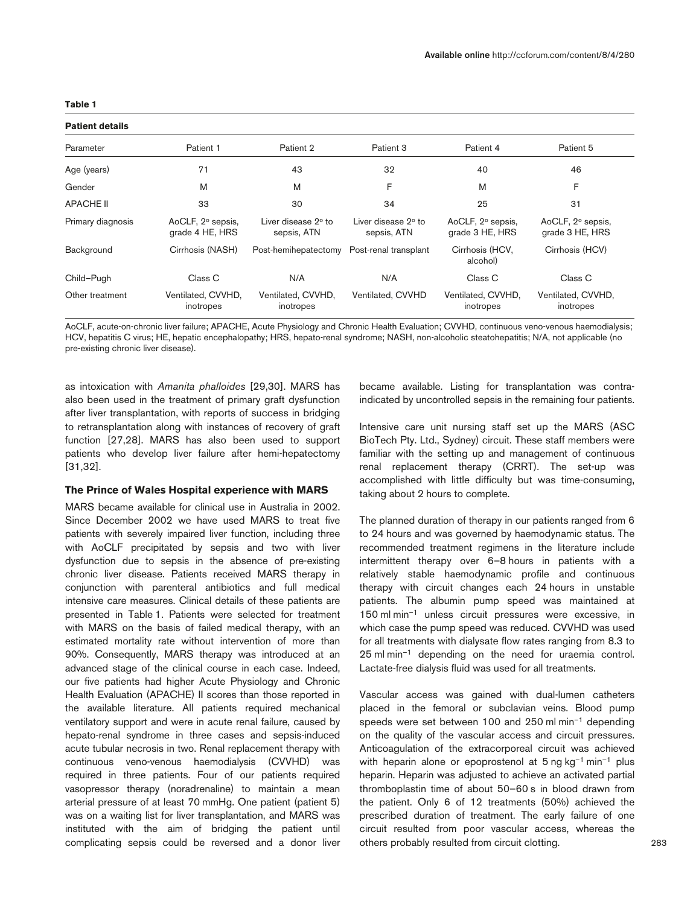# **Table 1**

| <b>Patient detai</b> |  |
|----------------------|--|
|----------------------|--|

| Patient 1                            | Patient 2                          |                                    | Patient 4                            | Patient 5                            |  |
|--------------------------------------|------------------------------------|------------------------------------|--------------------------------------|--------------------------------------|--|
| 71                                   | 43                                 | 32                                 | 40                                   | 46                                   |  |
| M                                    | M                                  | F                                  | M                                    | F                                    |  |
| 33                                   | 30                                 | 34                                 | 25                                   | 31                                   |  |
| AoCLF, 2° sepsis,<br>grade 4 HE, HRS | Liver disease 2° to<br>sepsis, ATN | Liver disease 2° to<br>sepsis, ATN | AoCLF, 2° sepsis,<br>grade 3 HE, HRS | AoCLF, 2° sepsis,<br>grade 3 HE, HRS |  |
| Cirrhosis (NASH)                     | Post-hemihepatectomy               | Post-renal transplant              | Cirrhosis (HCV,<br>alcohol)          | Cirrhosis (HCV)                      |  |
| Class C                              | N/A                                | N/A                                | Class C                              | Class C                              |  |
| Ventilated, CVVHD,<br>inotropes      | Ventilated, CVVHD,<br>inotropes    | Ventilated, CVVHD                  | Ventilated, CVVHD,<br>inotropes      | Ventilated, CVVHD,<br>inotropes      |  |
|                                      |                                    |                                    | Patient 3                            |                                      |  |

AoCLF, acute-on-chronic liver failure; APACHE, Acute Physiology and Chronic Health Evaluation; CVVHD, continuous veno-venous haemodialysis; HCV, hepatitis C virus; HE, hepatic encephalopathy; HRS, hepato-renal syndrome; NASH, non-alcoholic steatohepatitis; N/A, not applicable (no pre-existing chronic liver disease).

as intoxication with *Amanita phalloides* [29,30]. MARS has also been used in the treatment of primary graft dysfunction after liver transplantation, with reports of success in bridging to retransplantation along with instances of recovery of graft function [27,28]. MARS has also been used to support patients who develop liver failure after hemi-hepatectomy [31,32].

## **The Prince of Wales Hospital experience with MARS**

MARS became available for clinical use in Australia in 2002. Since December 2002 we have used MARS to treat five patients with severely impaired liver function, including three with AoCLF precipitated by sepsis and two with liver dysfunction due to sepsis in the absence of pre-existing chronic liver disease. Patients received MARS therapy in conjunction with parenteral antibiotics and full medical intensive care measures. Clinical details of these patients are presented in Table 1. Patients were selected for treatment with MARS on the basis of failed medical therapy, with an estimated mortality rate without intervention of more than 90%. Consequently, MARS therapy was introduced at an advanced stage of the clinical course in each case. Indeed, our five patients had higher Acute Physiology and Chronic Health Evaluation (APACHE) II scores than those reported in the available literature. All patients required mechanical ventilatory support and were in acute renal failure, caused by hepato-renal syndrome in three cases and sepsis-induced acute tubular necrosis in two. Renal replacement therapy with continuous veno-venous haemodialysis (CVVHD) was required in three patients. Four of our patients required vasopressor therapy (noradrenaline) to maintain a mean arterial pressure of at least 70 mmHg. One patient (patient 5) was on a waiting list for liver transplantation, and MARS was instituted with the aim of bridging the patient until complicating sepsis could be reversed and a donor liver

became available. Listing for transplantation was contraindicated by uncontrolled sepsis in the remaining four patients.

Intensive care unit nursing staff set up the MARS (ASC BioTech Pty. Ltd., Sydney) circuit. These staff members were familiar with the setting up and management of continuous renal replacement therapy (CRRT). The set-up was accomplished with little difficulty but was time-consuming, taking about 2 hours to complete.

The planned duration of therapy in our patients ranged from 6 to 24 hours and was governed by haemodynamic status. The recommended treatment regimens in the literature include intermittent therapy over 6–8 hours in patients with a relatively stable haemodynamic profile and continuous therapy with circuit changes each 24 hours in unstable patients. The albumin pump speed was maintained at 150 ml min–1 unless circuit pressures were excessive, in which case the pump speed was reduced. CVVHD was used for all treatments with dialysate flow rates ranging from 8.3 to 25 ml min–1 depending on the need for uraemia control. Lactate-free dialysis fluid was used for all treatments.

Vascular access was gained with dual-lumen catheters placed in the femoral or subclavian veins. Blood pump speeds were set between 100 and 250 ml min–1 depending on the quality of the vascular access and circuit pressures. Anticoagulation of the extracorporeal circuit was achieved with heparin alone or epoprostenol at  $5 \text{ ng kg}^{-1} \text{ min}^{-1}$  plus heparin. Heparin was adjusted to achieve an activated partial thromboplastin time of about 50–60 s in blood drawn from the patient. Only 6 of 12 treatments (50%) achieved the prescribed duration of treatment. The early failure of one circuit resulted from poor vascular access, whereas the others probably resulted from circuit clotting.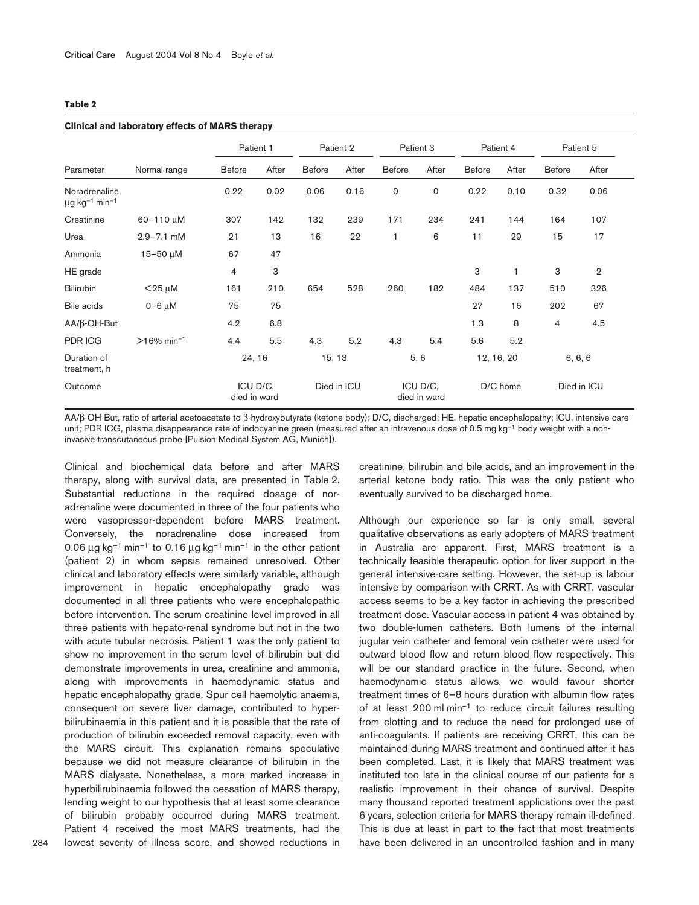### **Table 2**

## **Clinical and laboratory effects of MARS therapy**

| Parameter                                                    | Normal range              | Patient 1     |          | Patient 2     |       | Patient 3                |             | Patient 4     |       | Patient 5      |                |
|--------------------------------------------------------------|---------------------------|---------------|----------|---------------|-------|--------------------------|-------------|---------------|-------|----------------|----------------|
|                                                              |                           | <b>Before</b> | After    | <b>Before</b> | After | <b>Before</b>            | After       | <b>Before</b> | After | Before         | After          |
| Noradrenaline,<br>$\mu g$ kg <sup>-1</sup> min <sup>-1</sup> |                           | 0.22          | 0.02     | 0.06          | 0.16  | 0                        | $\mathbf 0$ | 0.22          | 0.10  | 0.32           | 0.06           |
| Creatinine                                                   | $60 - 110 \mu M$          | 307           | 142      | 132           | 239   | 171                      | 234         | 241           | 144   | 164            | 107            |
| Urea                                                         | $2.9 - 7.1$ mM            | 21            | 13       | 16            | 22    | 1                        | 6           | 11            | 29    | 15             | 17             |
| Ammonia                                                      | $15 - 50 \mu M$           | 67            | 47       |               |       |                          |             |               |       |                |                |
| HE grade                                                     |                           | 4             | 3        |               |       |                          |             | 3             | 1     | 3              | $\overline{2}$ |
| Bilirubin                                                    | $<$ 25 $\mu$ M            | 161           | 210      | 654           | 528   | 260                      | 182         | 484           | 137   | 510            | 326            |
| Bile acids                                                   | $0-6$ $\mu$ M             | 75            | 75       |               |       |                          |             | 27            | 16    | 202            | 67             |
| $AA/B$ -OH-But                                               |                           | 4.2           | 6.8      |               |       |                          |             | 1.3           | 8     | $\overline{4}$ | 4.5            |
| <b>PDR ICG</b>                                               | $>16\%$ min <sup>-1</sup> | 4.4           | 5.5      | 4.3           | 5.2   | 4.3                      | 5.4         | 5.6           | 5.2   |                |                |
| Duration of<br>treatment, h                                  |                           | 24, 16        |          | 15, 13        |       | 5, 6                     |             | 12, 16, 20    |       | 6, 6, 6        |                |
| Outcome                                                      |                           | died in ward  | ICU D/C. | Died in ICU   |       | ICU D/C,<br>died in ward |             | D/C home      |       | Died in ICU    |                |

AA/β-OH-But, ratio of arterial acetoacetate to β-hydroxybutyrate (ketone body); D/C, discharged; HE, hepatic encephalopathy; ICU, intensive care unit; PDR ICG, plasma disappearance rate of indocyanine green (measured after an intravenous dose of 0.5 mg kg<sup>-1</sup> body weight with a noninvasive transcutaneous probe [Pulsion Medical System AG, Munich]).

Clinical and biochemical data before and after MARS therapy, along with survival data, are presented in Table 2. Substantial reductions in the required dosage of noradrenaline were documented in three of the four patients who were vasopressor-dependent before MARS treatment. Conversely, the noradrenaline dose increased from 0.06  $\mu$ g kg<sup>-1</sup> min<sup>-1</sup> to 0.16  $\mu$ g kg<sup>-1</sup> min<sup>-1</sup> in the other patient (patient 2) in whom sepsis remained unresolved. Other clinical and laboratory effects were similarly variable, although improvement in hepatic encephalopathy grade was documented in all three patients who were encephalopathic before intervention. The serum creatinine level improved in all three patients with hepato-renal syndrome but not in the two with acute tubular necrosis. Patient 1 was the only patient to show no improvement in the serum level of bilirubin but did demonstrate improvements in urea, creatinine and ammonia, along with improvements in haemodynamic status and hepatic encephalopathy grade. Spur cell haemolytic anaemia, consequent on severe liver damage, contributed to hyperbilirubinaemia in this patient and it is possible that the rate of production of bilirubin exceeded removal capacity, even with the MARS circuit. This explanation remains speculative because we did not measure clearance of bilirubin in the MARS dialysate. Nonetheless, a more marked increase in hyperbilirubinaemia followed the cessation of MARS therapy, lending weight to our hypothesis that at least some clearance of bilirubin probably occurred during MARS treatment. Patient 4 received the most MARS treatments, had the lowest severity of illness score, and showed reductions in creatinine, bilirubin and bile acids, and an improvement in the arterial ketone body ratio. This was the only patient who eventually survived to be discharged home.

Although our experience so far is only small, several qualitative observations as early adopters of MARS treatment in Australia are apparent. First, MARS treatment is a technically feasible therapeutic option for liver support in the general intensive-care setting. However, the set-up is labour intensive by comparison with CRRT. As with CRRT, vascular access seems to be a key factor in achieving the prescribed treatment dose. Vascular access in patient 4 was obtained by two double-lumen catheters. Both lumens of the internal jugular vein catheter and femoral vein catheter were used for outward blood flow and return blood flow respectively. This will be our standard practice in the future. Second, when haemodynamic status allows, we would favour shorter treatment times of 6–8 hours duration with albumin flow rates of at least 200 ml min<sup>-1</sup> to reduce circuit failures resulting from clotting and to reduce the need for prolonged use of anti-coagulants. If patients are receiving CRRT, this can be maintained during MARS treatment and continued after it has been completed. Last, it is likely that MARS treatment was instituted too late in the clinical course of our patients for a realistic improvement in their chance of survival. Despite many thousand reported treatment applications over the past 6 years, selection criteria for MARS therapy remain ill-defined. This is due at least in part to the fact that most treatments have been delivered in an uncontrolled fashion and in many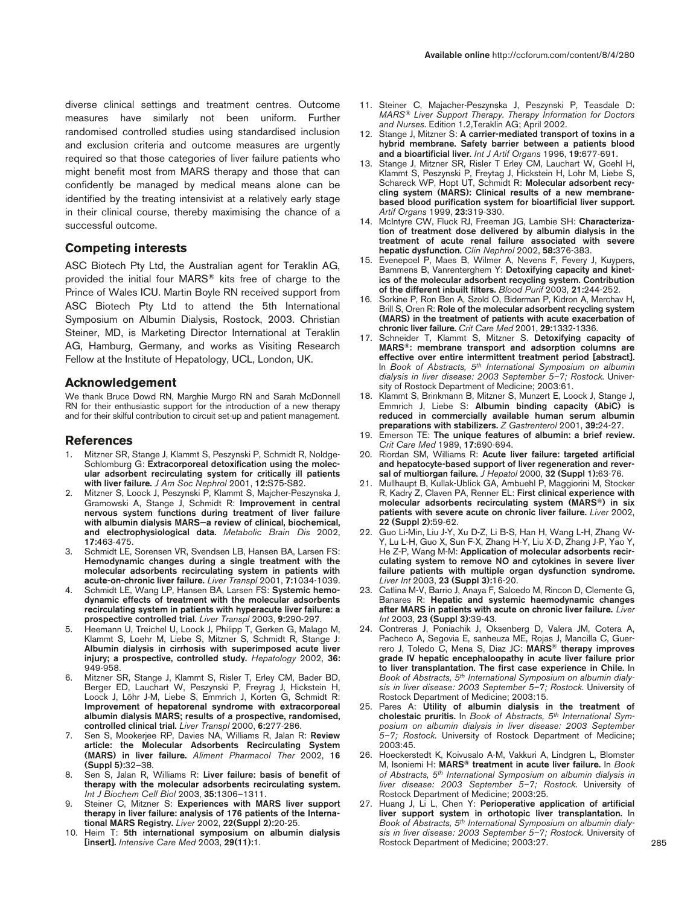diverse clinical settings and treatment centres. Outcome measures have similarly not been uniform. Further randomised controlled studies using standardised inclusion and exclusion criteria and outcome measures are urgently required so that those categories of liver failure patients who might benefit most from MARS therapy and those that can confidently be managed by medical means alone can be identified by the treating intensivist at a relatively early stage in their clinical course, thereby maximising the chance of a successful outcome.

# **Competing interests**

ASC Biotech Pty Ltd, the Australian agent for Teraklin AG, provided the initial four MARS® kits free of charge to the Prince of Wales ICU. Martin Boyle RN received support from ASC Biotech Pty Ltd to attend the 5th International Symposium on Albumin Dialysis, Rostock, 2003. Christian Steiner, MD, is Marketing Director International at Teraklin AG, Hamburg, Germany, and works as Visiting Research Fellow at the Institute of Hepatology, UCL, London, UK.

## **Acknowledgement**

We thank Bruce Dowd RN, Marghie Murgo RN and Sarah McDonnell RN for their enthusiastic support for the introduction of a new therapy and for their skilful contribution to circuit set-up and patient management.

## **References**

- 1. Mitzner SR, Stange J, Klammt S, Peszynski P, Schmidt R, Noldge-Schlomburg G: **Extracorporeal detoxification using the molecular adsorbent recirculating system for critically ill patients with liver failure.** *J Am Soc Nephrol* 2001, **12:**S75-S82.
- 2. Mitzner S, Loock J, Peszynski P, Klammt S, Majcher-Peszynska J, Gramowski A, Stange J, Schmidt R: **Improvement in central nervous system functions during treatment of liver failure with albumin dialysis MARS—a review of clinical, biochemical, and electrophysiological data.** *Metabolic Brain Dis* 2002, **17:**463-475.
- 3. Schmidt LE, Sorensen VR, Svendsen LB, Hansen BA, Larsen FS: **Hemodynamic changes during a single treatment with the molecular adsorbents recirculating system in patients with acute-on-chronic liver failure.** *Liver Transpl* 2001, **7:**1034-1039.
- 4. Schmidt LE, Wang LP, Hansen BA, Larsen FS: **Systemic hemodynamic effects of treatment with the molecular adsorbents recirculating system in patients with hyperacute liver failure: a prospective controlled trial.** *Liver Transpl* 2003, **9:**290-297.
- 5. Heemann U, Treichel U, Loock J, Philipp T, Gerken G, Malago M, Klammt S, Loehr M, Liebe S, Mitzner S, Schmidt R, Stange J: **Albumin dialysis in cirrhosis with superimposed acute liver injury; a prospective, controlled study.** *Hepatology* 2002, **36:** 949-958.
- 6. Mitzner SR, Stange J, Klammt S, Risler T, Erley CM, Bader BD, Berger ED, Lauchart W, Peszynski P, Freyrag J, Hickstein H, Loock J, Lõhr J-M, Liebe S, Emmrich J, Korten G, Schmidt R: **Improvement of hepatorenal syndrome with extracorporeal albumin dialysis MARS; results of a prospective, randomised, controlled clinical trial.** *Liver Transpl* 2000, **6:**277-286.
- 7. Sen S, Mookerjee RP, Davies NA, Williams R, Jalan R: **Review article: the Molecular Adsorbents Recirculating System (MARS) in liver failure.** *Aliment Pharmacol Ther* 2002, **16 (Suppl 5):**32–38.
- 8. Sen S, Jalan R, Williams R: **Liver failure: basis of benefit of therapy with the molecular adsorbents recirculating system.** *Int J Biochem Cell Biol* 2003, **35:**1306–1311.
- 9. Steiner C, Mitzner S: **Experiences with MARS liver support therapy in liver failure: analysis of 176 patients of the International MARS Registry.** *Liver* 2002, **22(Suppl 2):**20-25.
- 10. Heim T: **5th international symposium on albumin dialysis [insert].** *Intensive Care Med* 2003, **29(11):**1.
- 11. Steiner C, Majacher-Peszynska J, Peszynski P, Teasdale D: *MARS® Liver Support Therapy. Therapy Information for Doctors and Nurses*. Edition 1.2,Teraklin AG; April 2002.
- 12. Stange J, Mitzner S: **A carrier-mediated transport of toxins in a hybrid membrane. Safety barrier between a patients blood and a bioartificial liver.** *Int J Artif Organs* 1996, **19:**677-691.
- 13. Stange J, Mitzner SR, Risler T Erley CM, Lauchart W, Goehl H, Klammt S, Peszynski P, Freytag J, Hickstein H, Lohr M, Liebe S, Schareck WP, Hopt UT, Schmidt R: **Molecular adsorbent recycling system (MARS): Clinical results of a new membranebased blood purification system for bioartificial liver support.** *Artif Organs* 1999, **23:**319-330.
- 14. McIntyre CW, Fluck RJ, Freeman JG, Lambie SH: **Characterization of treatment dose delivered by albumin dialysis in the treatment of acute renal failure associated with severe hepatic dysfunction.** *Clin Nephrol* 2002, **58:**376-383.
- 15. Evenepoel P, Maes B, Wilmer A, Nevens F, Fevery J, Kuypers, Bammens B, Vanrenterghem Y: **Detoxifying capacity and kinetics of the molecular adsorbent recycling system. Contribution of the different inbuilt filters.** *Blood Purif* 2003, **21:**244-252.
- 16. Sorkine P, Ron Ben A, Szold O, Biderman P, Kidron A, Merchav H, Brill S, Oren R: **Role of the molecular adsorbent recycling system (MARS) in the treatment of patients with acute exacerbation of chronic liver failure.** *Crit Care Med* 2001, **29:**1332-1336.
- 17. Schneider T, Klammt S, Mitzner S. **Detoxifying capacity of MARS®: membrane transport and adsorption columns are effective over entire intermittent treatment period [abstract].** In *Book of Abstracts, 5th International Symposium on albumin dialysis in liver disease: 2003 September 5–7; Rostock*. University of Rostock Department of Medicine; 2003:61.
- 18. Klammt S, Brinkmann B, Mitzner S, Munzert E, Loock J, Stange J, Emmrich J, Liebe S: **Albumin binding capacity (AbiC) is reduced in commercially available human serum albumin preparations with stabilizers.** *Z Gastrenterol* 2001, **39:**24-27.
- 19. Emerson TE: **The unique features of albumin: a brief review.** *Crit Care Med* 1989, **17:**690-694.
- 20. Riordan SM, Williams R: **Acute liver failure: targeted artificial and hepatocyte-based support of liver regeneration and reversal of multiorgan failure.** *J Hepatol* 2000, **32 (Suppl 1):**63-76.
- 21. Mullhaupt B, Kullak-Ublick GA, Ambuehl P, Maggiorini M, Stocker R, Kadry Z, Claven PA, Renner EL: **First clinical experience with molecular adsorbents recirculating system (MARS®) in six patients with severe acute on chronic liver failure.** *Liver* 2002, **22 (Suppl 2):**59-62.
- 22. Guo Li-Min, Liu J-Y, Xu D-Z, Li B-S, Han H, Wang L-H, Zhang W-Y, Lu L-H, Guo X, Sun F-X, Zhang H-Y, Liu X-D, Zhang J-P, Yao Y, He Z-P, Wang M-M: **Application of molecular adsorbents recirculating system to remove NO and cytokines in severe liver failure patients with multiple organ dysfunction syndrome.** *Liver Int* 2003, **23 (Suppl 3):**16-20.
- 23. Catlina M-V, Barrio J, Anaya F, Salcedo M, Rincon D, Clemente G, Banares R: **Hepatic and systemic haemodynamic changes after MARS in patients with acute on chronic liver failure***. Liver Int* 2003, **23 (Suppl 3):**39-43.
- 24. Contreras J, Poniachik J, Oksenberg D, Valera JM, Cotera A, Pacheco A, Segovia E, sanheuza ME, Rojas J, Mancilla C, Guerrero J, Toledo C, Mena S, Diaz JC: **MARS® therapy improves grade IV hepatic encephaloopathy in acute liver failure prior to liver transplantation. The first case experience in Chile.** In *Book of Abstracts, 5th International Symposium on albumin dialysis in liver disease: 2003 September 5–7; Rostock*. University of Rostock Department of Medicine; 2003:15.
- 25. Pares A: **Utility of albumin dialysis in the treatment of cholestaic pruritis.** In *Book of Abstracts, 5th International Symposium on albumin dialysis in liver disease: 2003 September 5–7; Rostock*. University of Rostock Department of Medicine; 2003:45.
- 26. Hoeckerstedt K, Koivusalo A-M, Vakkuri A, Lindgren L, Blomster M, Isoniemi H: **MARS® treatment in acute liver failure.** In *Book of Abstracts, 5th International Symposium on albumin dialysis in liver disease: 2003 September 5–7; Rostock*. University of Rostock Department of Medicine; 2003:25.
- 27. Huang J, Li L, Chen Y: **Perioperative application of artificial liver support system in orthotopic liver transplantation.** In *Book of Abstracts, 5th International Symposium on albumin dialysis in liver disease: 2003 September 5–7; Rostock*. University of Rostock Department of Medicine; 2003:27.